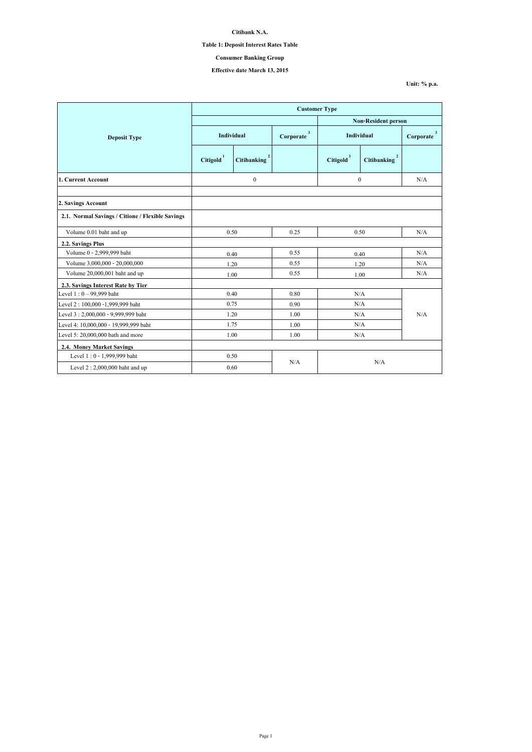|                                                  | <b>Customer Type</b> |                    |                           |                       |                                      |                                  |  |
|--------------------------------------------------|----------------------|--------------------|---------------------------|-----------------------|--------------------------------------|----------------------------------|--|
|                                                  |                      |                    |                           |                       |                                      | <b>Non-Resident person</b>       |  |
| <b>Deposit Type</b>                              | Individual           |                    | $\mathbf{3}$<br>Corporate | <b>Individual</b>     |                                      | $\mathbf{3}$<br><b>Corporate</b> |  |
|                                                  | <b>Citigold</b>      | <b>Citibanking</b> |                           | Citigold <sup>1</sup> | $\overline{2}$<br><b>Citibanking</b> |                                  |  |
| 1. Current Account                               | $\boldsymbol{0}$     |                    |                           | $\mathbf{0}$          |                                      | N/A                              |  |
| 2. Savings Account                               |                      |                    |                           |                       |                                      |                                  |  |
| 2.1. Normal Savings / Citione / Flexible Savings |                      |                    |                           |                       |                                      |                                  |  |
| Volume 0.01 baht and up                          | 0.50                 |                    | 0.25                      | 0.50                  |                                      | N/A                              |  |
| 2.2. Savings Plus                                |                      |                    |                           |                       |                                      |                                  |  |
| Volume 0 - 2,999,999 baht                        | 0.40                 |                    | 0.55                      |                       | 0.40                                 | N/A                              |  |
| Volume 3,000,000 - 20,000,000                    |                      | 1.20               | 0.55                      | 1.20                  |                                      | N/A                              |  |
| Volume 20,000,001 baht and up                    |                      | 1.00               | 0.55                      | 1.00                  |                                      | N/A                              |  |
| 2.3. Savings Interest Rate by Tier               |                      |                    |                           |                       |                                      |                                  |  |
| Level $1:0 - 99,999$ baht                        |                      | 0.40               | 0.80                      | N/A                   |                                      |                                  |  |
| Level 2 : 100,000 -1,999,999 baht                |                      | 0.75               | 0.90                      |                       | N/A                                  |                                  |  |
| Level 3: 2,000,000 - 9,999,999 baht              |                      | 1.20               | 1.00                      |                       | N/A                                  | N/A                              |  |
| Level 4: 10,000,000 - 19,999,999 baht            | 1.75                 |                    | 1.00                      |                       | N/A                                  |                                  |  |
| Level 5: 20,000,000 bath and more                | 1.00                 |                    | 1.00                      |                       | N/A                                  |                                  |  |
| <b>2.4. Money Market Savings</b>                 |                      |                    |                           |                       |                                      |                                  |  |
| Level 1:0 - 1,999,999 baht                       |                      | 0.50               |                           |                       |                                      |                                  |  |
| Level $2:2,000,000$ baht and up                  |                      | 0.60               |                           | N/A                   |                                      | N/A                              |  |

**Citibank N.A.**

**Table 1: Deposit Interest Rates Table**

**Effective date March 13, 2015**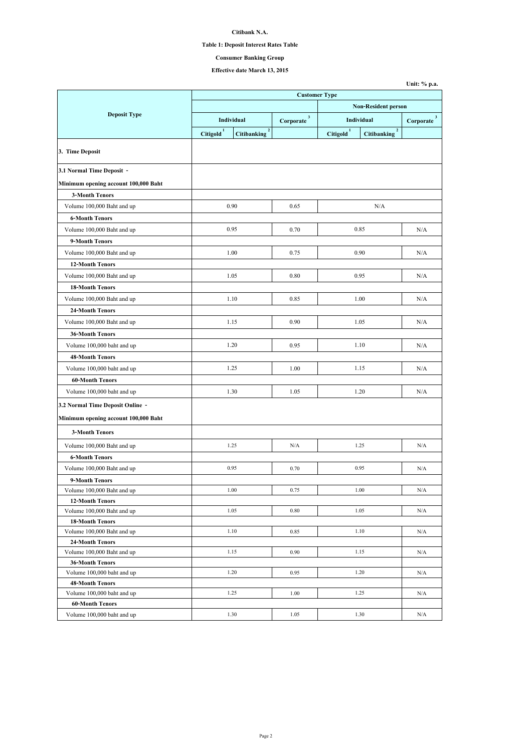| Unit: $%$ p.a. |  |  |  |
|----------------|--|--|--|
|----------------|--|--|--|

# **Citibank N.A.**

# **Table 1: Deposit Interest Rates Table**

# **Effective date March 13, 2015**

|                                                      | <b>Customer Type</b>                                            |                           |                                             |                           |  |  |  |  |
|------------------------------------------------------|-----------------------------------------------------------------|---------------------------|---------------------------------------------|---------------------------|--|--|--|--|
|                                                      |                                                                 |                           | <b>Non-Resident person</b>                  |                           |  |  |  |  |
| <b>Deposit Type</b>                                  | Individual                                                      | $\mathbf{3}$<br>Corporate | <b>Individual</b>                           | $\mathbf{3}$<br>Corporate |  |  |  |  |
|                                                      | $\boldsymbol{2}$<br>Citigold <sup>1</sup><br><b>Citibanking</b> |                           | Citigold <sup>1</sup><br><b>Citibanking</b> | $\overline{2}$            |  |  |  |  |
| 3. Time Deposit                                      |                                                                 |                           |                                             |                           |  |  |  |  |
| 3.1 Normal Time Deposit -                            |                                                                 |                           |                                             |                           |  |  |  |  |
| Minimum opening account 100,000 Baht                 |                                                                 |                           |                                             |                           |  |  |  |  |
| <b>3-Month Tenors</b>                                |                                                                 |                           |                                             |                           |  |  |  |  |
| Volume 100,000 Baht and up                           | 0.90                                                            | 0.65                      | N/A                                         |                           |  |  |  |  |
| <b>6-Month Tenors</b>                                |                                                                 |                           |                                             |                           |  |  |  |  |
| Volume 100,000 Baht and up                           | 0.95                                                            | 0.70                      | 0.85                                        | N/A                       |  |  |  |  |
| 9-Month Tenors                                       |                                                                 |                           |                                             |                           |  |  |  |  |
| Volume 100,000 Baht and up                           | 1.00                                                            | 0.75                      | 0.90                                        | N/A                       |  |  |  |  |
| <b>12-Month Tenors</b>                               |                                                                 |                           |                                             |                           |  |  |  |  |
| Volume 100,000 Baht and up                           | 1.05                                                            | 0.80                      | 0.95                                        | N/A                       |  |  |  |  |
| <b>18-Month Tenors</b>                               |                                                                 |                           |                                             |                           |  |  |  |  |
| Volume 100,000 Baht and up                           | 1.10                                                            | 0.85                      | 1.00                                        | N/A                       |  |  |  |  |
| <b>24-Month Tenors</b>                               |                                                                 |                           |                                             |                           |  |  |  |  |
|                                                      |                                                                 |                           | 1.05                                        |                           |  |  |  |  |
| Volume 100,000 Baht and up                           | 1.15                                                            | 0.90                      |                                             | N/A                       |  |  |  |  |
| <b>36-Month Tenors</b>                               |                                                                 |                           |                                             |                           |  |  |  |  |
| Volume 100,000 baht and up                           | 1.20                                                            | 0.95                      | 1.10                                        | N/A                       |  |  |  |  |
| <b>48-Month Tenors</b>                               |                                                                 |                           |                                             |                           |  |  |  |  |
| Volume 100,000 baht and up                           | 1.25                                                            | 1.00                      | 1.15                                        | N/A                       |  |  |  |  |
| <b>60-Month Tenors</b>                               |                                                                 |                           |                                             |                           |  |  |  |  |
| Volume 100,000 baht and up                           | 1.30                                                            | 1.05                      | 1.20                                        | N/A                       |  |  |  |  |
| 3.2 Normal Time Deposit Online -                     |                                                                 |                           |                                             |                           |  |  |  |  |
| Minimum opening account 100,000 Baht                 |                                                                 |                           |                                             |                           |  |  |  |  |
| <b>3-Month Tenors</b>                                |                                                                 |                           |                                             |                           |  |  |  |  |
| Volume 100,000 Baht and up                           | 1.25                                                            | N/A                       | 1.25                                        | N/A                       |  |  |  |  |
| <b>6-Month Tenors</b>                                |                                                                 |                           |                                             |                           |  |  |  |  |
| Volume 100,000 Baht and up                           | 0.95                                                            | 0.70                      | 0.95                                        | N/A                       |  |  |  |  |
| 9-Month Tenors                                       |                                                                 |                           |                                             |                           |  |  |  |  |
| Volume 100,000 Baht and up                           | 1.00                                                            | 0.75                      | 1.00                                        | N/A                       |  |  |  |  |
| <b>12-Month Tenors</b>                               |                                                                 |                           |                                             |                           |  |  |  |  |
| Volume 100,000 Baht and up                           | 1.05                                                            | 0.80                      | 1.05                                        | N/A                       |  |  |  |  |
| <b>18-Month Tenors</b>                               |                                                                 |                           |                                             |                           |  |  |  |  |
| Volume 100,000 Baht and up                           | 1.10                                                            | 0.85                      | 1.10                                        | N/A                       |  |  |  |  |
| <b>24-Month Tenors</b>                               |                                                                 |                           |                                             |                           |  |  |  |  |
| Volume 100,000 Baht and up                           | 1.15                                                            | 0.90                      | 1.15                                        | N/A                       |  |  |  |  |
| <b>36-Month Tenors</b>                               |                                                                 |                           |                                             |                           |  |  |  |  |
| Volume 100,000 baht and up                           | 1.20                                                            | 0.95                      | 1.20                                        | N/A                       |  |  |  |  |
| <b>48-Month Tenors</b><br>Volume 100,000 baht and up | 1.25                                                            | 1.00                      | 1.25                                        | N/A                       |  |  |  |  |
| <b>60-Month Tenors</b>                               |                                                                 |                           |                                             |                           |  |  |  |  |
| Volume 100,000 baht and up                           | 1.30                                                            | 1.05                      | 1.30                                        | N/A                       |  |  |  |  |
|                                                      |                                                                 |                           |                                             |                           |  |  |  |  |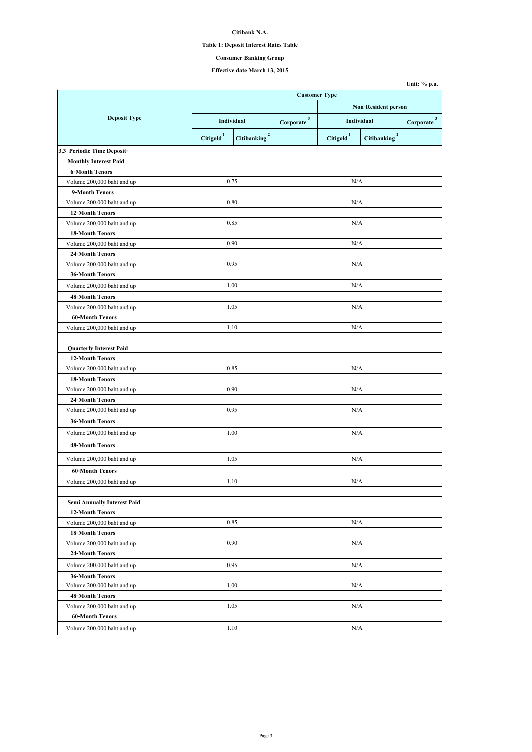# **Citibank N.A.**

# **Table 1: Deposit Interest Rates Table**

# **Effective date March 13, 2015**

|                                    |                       |                                      | <b>Non-Resident person</b> |                       |                                      |  |
|------------------------------------|-----------------------|--------------------------------------|----------------------------|-----------------------|--------------------------------------|--|
| <b>Deposit Type</b>                | <b>Individual</b>     |                                      | $\mathbf{3}$<br>Corporate  |                       | <b>Individual</b>                    |  |
|                                    | Citigold <sup>1</sup> | $\overline{2}$<br><b>Citibanking</b> |                            | Citigold <sup>1</sup> | $\overline{2}$<br><b>Citibanking</b> |  |
| 3.3 Periodic Time Deposit-         |                       |                                      |                            |                       |                                      |  |
| <b>Monthly Interest Paid</b>       |                       |                                      |                            |                       |                                      |  |
| <b>6-Month Tenors</b>              |                       |                                      |                            |                       |                                      |  |
| Volume 200,000 baht and up         | 0.75                  |                                      |                            | N/A                   |                                      |  |
| 9-Month Tenors                     |                       |                                      |                            |                       |                                      |  |
| Volume 200,000 baht and up         | 0.80                  |                                      |                            | N/A                   |                                      |  |
| <b>12-Month Tenors</b>             |                       |                                      |                            |                       |                                      |  |
| Volume 200,000 baht and up         | 0.85                  |                                      |                            | N/A                   |                                      |  |
| <b>18-Month Tenors</b>             |                       |                                      |                            |                       |                                      |  |
| Volume 200,000 baht and up         | 0.90                  |                                      |                            | N/A                   |                                      |  |
| <b>24-Month Tenors</b>             |                       |                                      |                            |                       |                                      |  |
| Volume 200,000 baht and up         | 0.95                  |                                      |                            | N/A                   |                                      |  |
| <b>36-Month Tenors</b>             |                       |                                      |                            |                       |                                      |  |
| Volume 200,000 baht and up         |                       | 1.00                                 |                            | N/A                   |                                      |  |
| <b>48-Month Tenors</b>             |                       |                                      |                            |                       |                                      |  |
| Volume 200,000 baht and up         |                       | 1.05                                 |                            | N/A                   |                                      |  |
| <b>60-Month Tenors</b>             |                       |                                      |                            |                       |                                      |  |
| Volume 200,000 baht and up         | 1.10                  |                                      |                            | N/A                   |                                      |  |
| <b>Quarterly Interest Paid</b>     |                       |                                      |                            |                       |                                      |  |
| <b>12-Month Tenors</b>             |                       |                                      |                            |                       |                                      |  |
| Volume 200,000 baht and up         | 0.85                  |                                      |                            | N/A                   |                                      |  |
| <b>18-Month Tenors</b>             |                       |                                      |                            |                       |                                      |  |
| Volume 200,000 baht and up         | 0.90                  |                                      |                            | N/A                   |                                      |  |
| <b>24-Month Tenors</b>             |                       |                                      |                            |                       |                                      |  |
| Volume 200,000 baht and up         | 0.95                  |                                      |                            | N/A                   |                                      |  |
| <b>36-Month Tenors</b>             |                       |                                      |                            |                       |                                      |  |
| Volume 200,000 baht and up         | 1.00                  |                                      |                            | N/A                   |                                      |  |
| <b>48-Month Tenors</b>             |                       |                                      |                            |                       |                                      |  |
| Volume 200,000 baht and up         | 1.05                  |                                      |                            | N/A                   |                                      |  |
| <b>60-Month Tenors</b>             |                       |                                      |                            |                       |                                      |  |
| Volume 200,000 baht and up         | 1.10                  |                                      | N/A                        |                       |                                      |  |
|                                    |                       |                                      |                            |                       |                                      |  |
| <b>Semi Annually Interest Paid</b> |                       |                                      |                            |                       |                                      |  |
| <b>12-Month Tenors</b>             |                       |                                      |                            |                       |                                      |  |
| Volume 200,000 baht and up         | 0.85                  |                                      |                            | N/A                   |                                      |  |
| <b>18-Month Tenors</b>             |                       |                                      |                            |                       |                                      |  |
| Volume 200,000 baht and up         | 0.90                  |                                      |                            | N/A                   |                                      |  |
| <b>24-Month Tenors</b>             |                       |                                      |                            |                       |                                      |  |
| Volume 200,000 baht and up         | 0.95                  |                                      |                            | N/A                   |                                      |  |
| <b>36-Month Tenors</b>             |                       |                                      |                            |                       |                                      |  |
| Volume 200,000 baht and up         |                       | 1.00                                 |                            | N/A                   |                                      |  |
| <b>48-Month Tenors</b>             |                       |                                      |                            |                       |                                      |  |
| Volume 200,000 baht and up         |                       | 1.05                                 |                            | N/A                   |                                      |  |
| <b>60-Month Tenors</b>             |                       |                                      |                            |                       |                                      |  |
| Volume 200,000 baht and up         | 1.10                  |                                      |                            | N/A                   |                                      |  |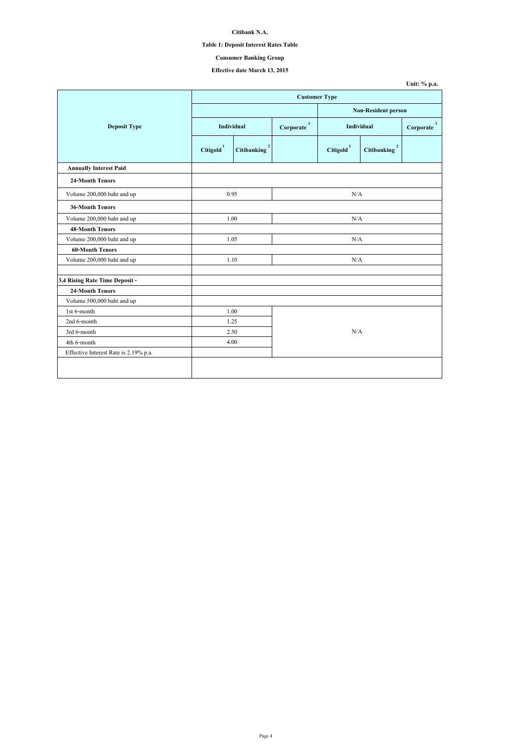# **Citibank N.A.**

# **Table 1: Deposit Interest Rates Table**

### **Effective date March 13, 2015**

|                                       |                       | <b>Customer Type</b>               |     |                                                |                                               |                |  |
|---------------------------------------|-----------------------|------------------------------------|-----|------------------------------------------------|-----------------------------------------------|----------------|--|
|                                       |                       |                                    |     |                                                | <b>Non-Resident person</b>                    |                |  |
| <b>Deposit Type</b>                   |                       | Individual                         |     | $\mathbf{3}$<br><b>Individual</b><br>Corporate |                                               | 3<br>Corporate |  |
|                                       | Citigold <sup>1</sup> | $\mathbf{2}$<br><b>Citibanking</b> |     | Citigold <sup>1</sup>                          | $\overline{\mathbf{2}}$<br><b>Citibanking</b> |                |  |
| <b>Annually Interest Paid</b>         |                       |                                    |     |                                                |                                               |                |  |
| <b>24-Month Tenors</b>                |                       |                                    |     |                                                |                                               |                |  |
| Volume 200,000 baht and up            | 0.95                  |                                    |     | N/A                                            |                                               |                |  |
| <b>36-Month Tenors</b>                |                       |                                    |     |                                                |                                               |                |  |
| Volume 200,000 baht and up            |                       | 1.00                               |     | N/A                                            |                                               |                |  |
| <b>48-Month Tenors</b>                |                       |                                    |     |                                                |                                               |                |  |
| Volume 200,000 baht and up            |                       | 1.05                               |     | N/A                                            |                                               |                |  |
| <b>60-Month Tenors</b>                |                       |                                    |     |                                                |                                               |                |  |
| Volume 200,000 baht and up            | 1.10                  |                                    | N/A |                                                |                                               |                |  |
| 3.4 Rising Rate Time Deposit -        |                       |                                    |     |                                                |                                               |                |  |
| <b>24-Month Tenors</b>                |                       |                                    |     |                                                |                                               |                |  |
| Volume 500,000 baht and up            |                       |                                    |     |                                                |                                               |                |  |
| 1st 6-month                           | 1.00                  |                                    |     |                                                |                                               |                |  |
| 2nd 6-month                           | 1.25                  |                                    | N/A |                                                |                                               |                |  |
| 3rd 6-month                           | 2.50                  |                                    |     |                                                |                                               |                |  |
| 4th 6-month                           | 4.00                  |                                    |     |                                                |                                               |                |  |
| Effective Interest Rate is 2.19% p.a. |                       |                                    |     |                                                |                                               |                |  |
|                                       |                       |                                    |     |                                                |                                               |                |  |
|                                       |                       |                                    |     |                                                |                                               |                |  |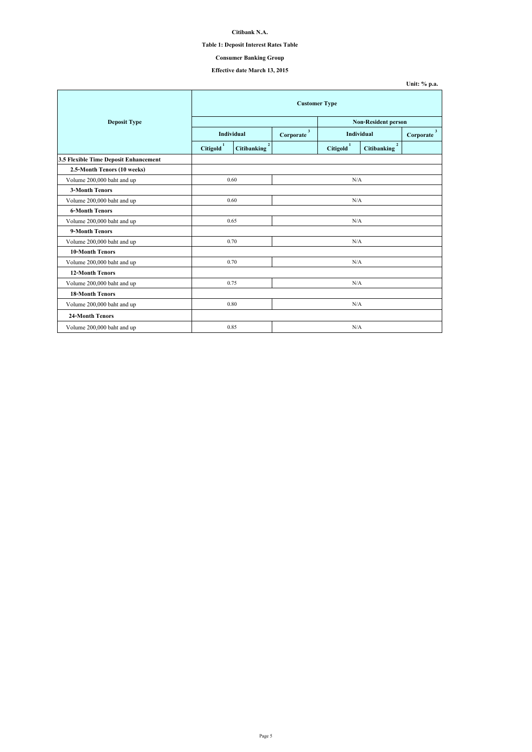**Citibank N.A.**

**Table 1: Deposit Interest Rates Table**

### **Effective date March 13, 2015**

|                                       | <b>Customer Type</b>  |                                      |     |                       |                                      |                           |  |
|---------------------------------------|-----------------------|--------------------------------------|-----|-----------------------|--------------------------------------|---------------------------|--|
| <b>Deposit Type</b>                   |                       |                                      |     |                       | <b>Non-Resident person</b>           |                           |  |
|                                       |                       | Individual                           |     |                       | Individual                           | $\mathbf{3}$<br>Corporate |  |
|                                       | Citigold <sup>1</sup> | $\overline{2}$<br><b>Citibanking</b> |     | Citigold <sup>1</sup> | $\overline{2}$<br><b>Citibanking</b> |                           |  |
| 3.5 Flexible Time Deposit Enhancement |                       |                                      |     |                       |                                      |                           |  |
| 2.5-Month Tenors (10 weeks)           |                       |                                      |     |                       |                                      |                           |  |
| Volume 200,000 baht and up            | 0.60                  |                                      |     | N/A                   |                                      |                           |  |
| <b>3-Month Tenors</b>                 |                       |                                      |     |                       |                                      |                           |  |
| Volume 200,000 baht and up            | 0.60                  |                                      | N/A |                       |                                      |                           |  |
| <b>6-Month Tenors</b>                 |                       |                                      |     |                       |                                      |                           |  |
| Volume 200,000 baht and up            | 0.65                  |                                      | N/A |                       |                                      |                           |  |
| 9-Month Tenors                        |                       |                                      |     |                       |                                      |                           |  |
| Volume 200,000 baht and up            | 0.70                  |                                      | N/A |                       |                                      |                           |  |
| <b>10-Month Tenors</b>                |                       |                                      |     |                       |                                      |                           |  |
| Volume 200,000 baht and up            | 0.70                  |                                      | N/A |                       |                                      |                           |  |
| <b>12-Month Tenors</b>                |                       |                                      |     |                       |                                      |                           |  |
| Volume 200,000 baht and up            | 0.75                  |                                      | N/A |                       |                                      |                           |  |
| <b>18-Month Tenors</b>                |                       |                                      |     |                       |                                      |                           |  |
| Volume 200,000 baht and up            |                       | 0.80                                 |     | $\rm N/A$             |                                      |                           |  |
| <b>24-Month Tenors</b>                |                       |                                      |     |                       |                                      |                           |  |
| Volume 200,000 baht and up            |                       | 0.85                                 |     | $\rm N/A$             |                                      |                           |  |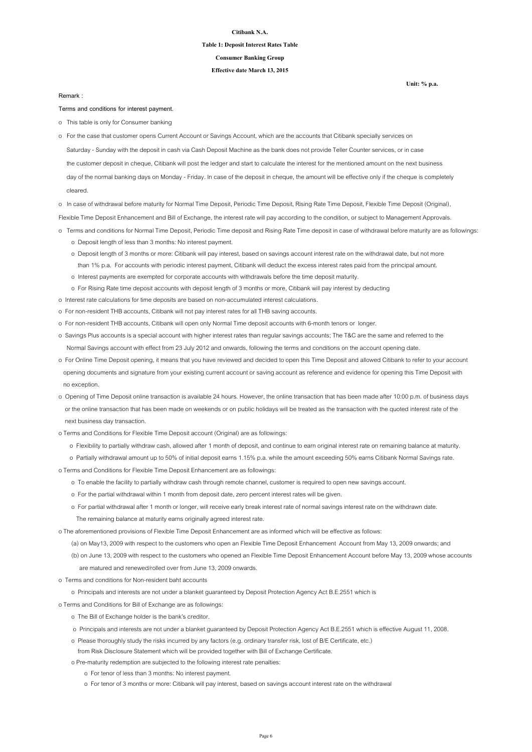#### **Citibank N.A.**

# **Table 1: Deposit Interest Rates Table**

### **Effective date March 13, 2015**

### **Consumer Banking Group**

**Terms and conditions for interest payment.**

- o This table is only for Consumer banking
- Saturday Sunday with the deposit in cash via Cash Deposit Machine as the bank does not provide Teller Counter services, or in case the customer deposit in cheque, Citibank will post the ledger and start to calculate the interest for the mentioned amount on the next business day of the normal banking days on Monday - Friday. In case of the deposit in cheque, the amount will be effective only if the cheque is completely cleared. o For the case that customer opens Current Account or Savings Account, which are the accounts that Citibank specially services on
- o In case of withdrawal before maturity for Normal Time Deposit, Periodic Time Deposit, Rising Rate Time Deposit, Flexible Time Deposit (Original),

Flexible Time Deposit Enhancement and Bill of Exchange, the interest rate will pay according to the condition, or subject to Management Approvals.

- o Terms and conditions for Normal Time Deposit, Periodic Time deposit and Rising Rate Time deposit in case of withdrawal before maturity are as followings:
	- o Deposit length of less than 3 months: No interest payment.
	- o Deposit length of 3 months or more: Citibank will pay interest, based on savings account interest rate on the withdrawal date, but not more than 1% p.a. For accounts with periodic interest payment, Citibank will deduct the excess interest rates paid from the principal amount.
	- o Interest payments are exempted for corporate accounts with withdrawals before the time deposit maturity.
	- o For Rising Rate time deposit accounts with deposit length of 3 months or more, Citibank will pay interest by deducting
- o Interest rate calculations for time deposits are based on non-accumulated interest calculations.
- o For non-resident THB accounts, Citibank will not pay interest rates for all THB saving accounts.
- o For non-resident THB accounts, Citibank will open only Normal Time deposit accounts with 6-month tenors or longer.
- o Savings Plus accounts is a special account with higher interest rates than regular savings accounts; The T&C are the same and referred to the Normal Savings account with effect from 23 July 2012 and onwards, following the terms and conditions on the account opening date.
- o For Online Time Deposit opening, it means that you have reviewed and decided to open this Time Deposit and allowed Citibank to refer to your account opening documents and signature from your existing current account or saving account as reference and evidence for opening this Time Deposit with no exception.
- o Opening of Time Deposit online transaction is available 24 hours. However, the online transaction that has been made after 10:00 p.m. of business days or the online transaction that has been made on weekends or on public holidays will be treated as the transaction with the quoted interest rate of the next business day transaction.

- o Terms and Conditions for Flexible Time Deposit account (Original) are as followings:
	- o Flexibility to partially withdraw cash, allowed after 1 month of deposit, and continue to earn original interest rate on remaining balance at maturity.
	- o Partially withdrawal amount up to 50% of initial deposit earns 1.15% p.a. while the amount exceeding 50% earns Citibank Normal Savings rate.
- o Terms and Conditions for Flexible Time Deposit Enhancement are as followings:
	- o To enable the facility to partially withdraw cash through remote channel, customer is required to open new savings account.
	- o For the partial withdrawal within 1 month from deposit date, zero percent interest rates will be given.
	- o For partial withdrawal after 1 month or longer, will receive early break interest rate of normal savings interest rate on the withdrawn date.
		- The remaining balance at maturity earns originally agreed interest rate.
- o The aforementioned provisions of Flexible Time Deposit Enhancement are as informed which will be effective as follows:
	- (a) on May13, 2009 with respect to the customers who open an Flexible Time Deposit Enhancement Account from May 13, 2009 onwards; and
	- (b) on June 13, 2009 with respect to the customers who opened an Flexible Time Deposit Enhancement Account before May 13, 2009 whose accounts are matured and renewed/rolled over from June 13, 2009 onwards.
- o Terms and conditions for Non-resident baht accounts
	- o Principals and interests are not under a blanket guaranteed by Deposit Protection Agency Act B.E.2551 which is
- o Terms and Conditions for Bill of Exchange are as followings:
	- o The Bill of Exchange holder is the bank's creditor.
	- o Principals and interests are not under a blanket guaranteed by Deposit Protection Agency Act B.E.2551 which is effective August 11, 2008.
	- o Please thoroughly study the risks incurred by any factors (e.g. ordinary transfer risk, lost of B/E Certificate, etc.)
	- from Risk Disclosure Statement which will be provided together with Bill of Exchange Certificate.
	- o Pre-maturity redemption are subjected to the following interest rate penalties:
		- o For tenor of less than 3 months: No interest payment.
		- o For tenor of 3 months or more: Citibank will pay interest, based on savings account interest rate on the withdrawal

**Remark :**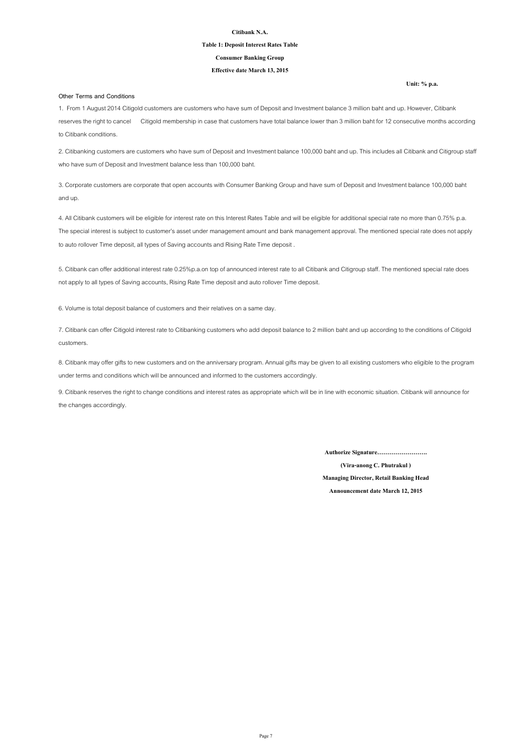### **Citibank N.A.**

### **Table 1: Deposit Interest Rates Table**

### **Effective date March 13, 2015**

### **Consumer Banking Group**

### **Other Terms and Conditions**

8. Citibank may offer gifts to new customers and on the anniversary program. Annual gifts may be given to all existing customers who eligible to the program under terms and conditions which will be announced and informed to the customers accordingly.

9. Citibank reserves the right to change conditions and interest rates as appropriate which will be in line with economic situation. Citibank will announce for the changes accordingly.

1. From 1 August 2014 Citigold customers are customers who have sum of Deposit and Investment balance 3 million baht and up. However, Citibank reserves the right to cancel Citigold membership in case that customers have total balance lower than 3 million baht for 12 consecutive months according to Citibank conditions.

2. Citibanking customers are customers who have sum of Deposit and Investment balance 100,000 baht and up. This includes all Citibank and Citigroup staff who have sum of Deposit and Investment balance less than 100,000 baht.

3. Corporate customers are corporate that open accounts with Consumer Banking Group and have sum of Deposit and Investment balance 100,000 baht and up.

4. All Citibank customers will be eligible for interest rate on this Interest Rates Table and will be eligible for additional special rate no more than 0.75% p.a. The special interest is subject to customer's asset under management amount and bank management approval. The mentioned special rate does not apply to auto rollover Time deposit, all types of Saving accounts and Rising Rate Time deposit .

5. Citibank can offer additional interest rate 0.25%p.a.on top of announced interest rate to all Citibank and Citigroup staff. The mentioned special rate does not apply to all types of Saving accounts, Rising Rate Time deposit and auto rollover Time deposit.

7. Citibank can offer Citigold interest rate to Citibanking customers who add deposit balance to 2 million baht and up according to the conditions of Citigold customers.

6. Volume is total deposit balance of customers and their relatives on a same day.

**Authorize Signature…………………….**

**(Vira-anong C. Phutrakul )**

**Managing Director, Retail Banking Head**

**Announcement date March 12, 2015**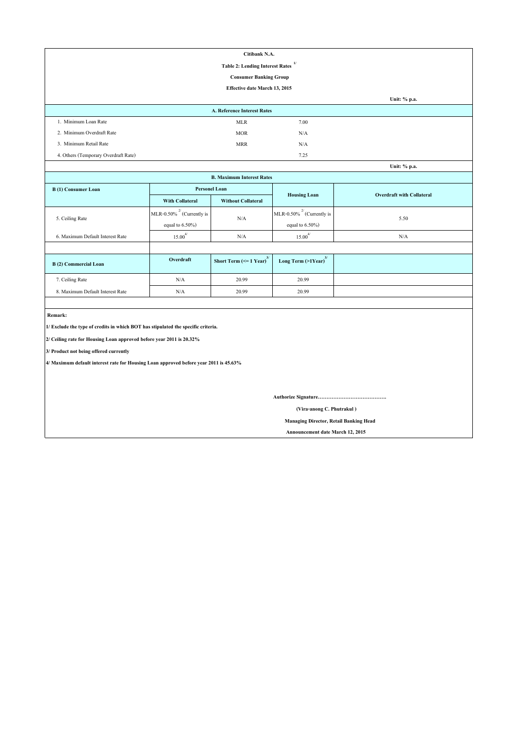|                                                                                       |                                 | Citibank N.A.                                 |                                     |                                  |  |  |  |
|---------------------------------------------------------------------------------------|---------------------------------|-----------------------------------------------|-------------------------------------|----------------------------------|--|--|--|
| 1/<br><b>Table 2: Lending Interest Rates</b>                                          |                                 |                                               |                                     |                                  |  |  |  |
|                                                                                       |                                 | <b>Consumer Banking Group</b>                 |                                     |                                  |  |  |  |
|                                                                                       |                                 | <b>Effective date March 13, 2015</b>          |                                     |                                  |  |  |  |
|                                                                                       |                                 |                                               |                                     | Unit: % p.a.                     |  |  |  |
|                                                                                       |                                 | A. Reference Interest Rates                   |                                     |                                  |  |  |  |
| 1. Minimum Loan Rate                                                                  |                                 | <b>MLR</b>                                    | 7.00                                |                                  |  |  |  |
| 2. Minimum Overdraft Rate                                                             |                                 | <b>MOR</b>                                    | N/A                                 |                                  |  |  |  |
| 3. Minimum Retail Rate                                                                |                                 | <b>MRR</b>                                    | N/A                                 |                                  |  |  |  |
| 4. Others (Temporary Overdraft Rate)                                                  |                                 |                                               | 7.25                                |                                  |  |  |  |
|                                                                                       |                                 |                                               |                                     | Unit: % p.a.                     |  |  |  |
|                                                                                       |                                 | <b>B. Maximum Interest Rates</b>              |                                     |                                  |  |  |  |
| <b>B</b> (1) Consumer Loan                                                            | <b>Personel Loan</b>            |                                               |                                     | <b>Overdraft with Collateral</b> |  |  |  |
|                                                                                       | <b>With Collateral</b>          | <b>Without Collateral</b>                     | <b>Housing Loan</b>                 |                                  |  |  |  |
| 5. Ceiling Rate                                                                       | MLR-0.50% $^{27}$ (Currently is | N/A                                           | MLR-0.50% $^{27}$ (Currently is     |                                  |  |  |  |
|                                                                                       | equal to $6.50\%$ )             |                                               | equal to $6.50\%$ )                 | 5.50                             |  |  |  |
| 6. Maximum Default Interest Rate                                                      | $15.00^{4/}$                    | N/A                                           | $15.00^{4/}$                        | N/A                              |  |  |  |
|                                                                                       |                                 |                                               |                                     |                                  |  |  |  |
| <b>B</b> (2) Commercial Loan                                                          | Overdraft                       | Short Term $\left(\leq 1$ Year) <sup>3/</sup> | Long Term $(>1$ Year) <sup>3/</sup> |                                  |  |  |  |
| 7. Ceiling Rate                                                                       | N/A                             | 20.99                                         | 20.99                               |                                  |  |  |  |
| 8. Maximum Default Interest Rate                                                      | N/A                             | 20.99                                         | 20.99                               |                                  |  |  |  |
|                                                                                       |                                 |                                               |                                     |                                  |  |  |  |
| Remark:                                                                               |                                 |                                               |                                     |                                  |  |  |  |
| 1/ Exclude the type of credits in which BOT has stipulated the specific criteria.     |                                 |                                               |                                     |                                  |  |  |  |
| 2/ Ceiling rate for Housing Loan approved before year 2011 is 20.32%                  |                                 |                                               |                                     |                                  |  |  |  |
| 3/ Product not being offered currently                                                |                                 |                                               |                                     |                                  |  |  |  |
| 4/ Maximum default interest rate for Housing Loan approved before year 2011 is 45.63% |                                 |                                               |                                     |                                  |  |  |  |
|                                                                                       |                                 |                                               |                                     |                                  |  |  |  |
|                                                                                       |                                 |                                               |                                     |                                  |  |  |  |
|                                                                                       |                                 |                                               |                                     |                                  |  |  |  |
|                                                                                       |                                 |                                               | (Vira-anong C. Phutrakul)           |                                  |  |  |  |
| <b>Managing Director, Retail Banking Head</b>                                         |                                 |                                               |                                     |                                  |  |  |  |

 **Announcement date March 12, 2015**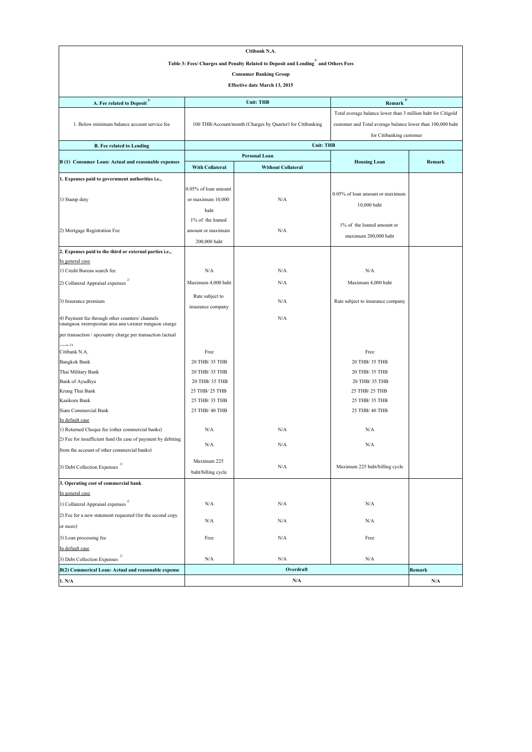|                                                                                                          | Citibank N.A.          |                                                                                                |                                                              |        |  |  |  |  |
|----------------------------------------------------------------------------------------------------------|------------------------|------------------------------------------------------------------------------------------------|--------------------------------------------------------------|--------|--|--|--|--|
|                                                                                                          |                        | Table 3: Fees/ Charges and Penalty Related to Deposit and Lending <sup>1</sup> and Others Fees |                                                              |        |  |  |  |  |
|                                                                                                          |                        | <b>Consumer Banking Group</b>                                                                  |                                                              |        |  |  |  |  |
| <b>Effective date March 13, 2015</b>                                                                     |                        |                                                                                                |                                                              |        |  |  |  |  |
| 4/<br>A. Fee related to Deposit $3/$<br><b>Unit: THB</b><br>Remark                                       |                        |                                                                                                |                                                              |        |  |  |  |  |
|                                                                                                          |                        |                                                                                                | Total average balance lower than 3 million baht for Citigold |        |  |  |  |  |
| 1. Below minimum balance account service fee                                                             |                        | 100 THB/Account/month (Charges by Quarter) for Citibanking                                     | customer and Total average balance lower than 100,000 baht   |        |  |  |  |  |
|                                                                                                          |                        |                                                                                                | for Citibanking customer                                     |        |  |  |  |  |
| <b>B.</b> Fee related to Lending                                                                         |                        | <b>Unit: THB</b>                                                                               |                                                              |        |  |  |  |  |
|                                                                                                          |                        | <b>Personal Loan</b>                                                                           |                                                              |        |  |  |  |  |
| B (1) Consumer Loan: Actual and reasonable expenses                                                      | <b>With Collateral</b> | <b>Without Collateral</b>                                                                      | <b>Housing Loan</b>                                          | Remark |  |  |  |  |
| 1. Expenses paid to government authorities i.e.,                                                         |                        |                                                                                                |                                                              |        |  |  |  |  |
|                                                                                                          | 0.05% of loan amount   |                                                                                                |                                                              |        |  |  |  |  |
| 1) Stamp duty                                                                                            | or maximum 10,000      | N/A                                                                                            | 0.05% of loan amount or maximum                              |        |  |  |  |  |
|                                                                                                          | baht                   |                                                                                                | 10,000 baht                                                  |        |  |  |  |  |
|                                                                                                          | 1% of the loaned       |                                                                                                |                                                              |        |  |  |  |  |
| 2) Mortgage Registration Fee                                                                             | amount or maximum      | N/A                                                                                            | 1% of the loaned amount or                                   |        |  |  |  |  |
|                                                                                                          | 200,000 baht           |                                                                                                | maximum 200,000 baht                                         |        |  |  |  |  |
| 2. Expenses paid to the third or external parties i.e.,                                                  |                        |                                                                                                |                                                              |        |  |  |  |  |
| In general case                                                                                          |                        |                                                                                                |                                                              |        |  |  |  |  |
| 1) Credit Bureau search fee                                                                              | N/A                    | N/A                                                                                            | N/A                                                          |        |  |  |  |  |
| 2/<br>2) Collateral Appraisal expenses                                                                   | Maximum 4,000 baht     | N/A                                                                                            | Maximum 4,000 baht                                           |        |  |  |  |  |
|                                                                                                          | Rate subject to        |                                                                                                |                                                              |        |  |  |  |  |
| 3) Insurance premium                                                                                     | insurance company      | N/A                                                                                            | Rate subject to insurance company                            |        |  |  |  |  |
| 4) Payment fee through other counters/ channels<br>(Bangkok Metropolitan area and Greater bangkok charge |                        | N/A                                                                                            |                                                              |        |  |  |  |  |
| per transaction / upcountry charge per transaction (actual                                               |                        |                                                                                                |                                                              |        |  |  |  |  |
| (left)                                                                                                   |                        |                                                                                                |                                                              |        |  |  |  |  |
| Citibank N.A.                                                                                            | Free                   |                                                                                                | Free                                                         |        |  |  |  |  |
| <b>Bangkok Bank</b>                                                                                      | 20 THB/ 35 THB         |                                                                                                | 20 THB/ 35 THB                                               |        |  |  |  |  |
| Thai Military Bank                                                                                       | 20 THB/ 35 THB         |                                                                                                | 20 THB/ 35 THB                                               |        |  |  |  |  |
| <b>Bank of Ayudhya</b>                                                                                   | 20 THB/ 35 THB         |                                                                                                | 20 THB/ 35 THB                                               |        |  |  |  |  |
| Krung Thai Bank                                                                                          | 25 THB/ 25 THB         |                                                                                                | 25 THB/ 25 THB                                               |        |  |  |  |  |
| Kasikorn Bank                                                                                            | 25 THB/ 35 THB         |                                                                                                | 25 THB/ 35 THB                                               |        |  |  |  |  |
| Siam Commercial Bank                                                                                     | 25 THB/ 40 THB         |                                                                                                | 25 THB/ 40 THB                                               |        |  |  |  |  |
| In default case<br>1) Returned Cheque fee (other commercial banks)                                       | N/A                    | N/A                                                                                            | N/A                                                          |        |  |  |  |  |
| 2) Fee for insufficient fund (In case of payment by debiting                                             |                        |                                                                                                |                                                              |        |  |  |  |  |
| from the account of other commercial banks)                                                              | N/A                    | N/A                                                                                            | N/A                                                          |        |  |  |  |  |
|                                                                                                          | Maximum 225            |                                                                                                |                                                              |        |  |  |  |  |
| 3) Debt Collection Expenses                                                                              | baht/billing cycle     | N/A                                                                                            | Maximum 225 baht/billing cycle                               |        |  |  |  |  |
| 3. Operating cost of commercial bank                                                                     |                        |                                                                                                |                                                              |        |  |  |  |  |
| In general case                                                                                          |                        |                                                                                                |                                                              |        |  |  |  |  |
| 1) Collateral Appraisal expenses                                                                         | N/A                    | N/A                                                                                            | N/A                                                          |        |  |  |  |  |
| (2) Fee for a new statement requested (for the second copy                                               | N/A                    | N/A                                                                                            | N/A                                                          |        |  |  |  |  |
| or more)                                                                                                 |                        |                                                                                                |                                                              |        |  |  |  |  |
| 3) Loan processing fee                                                                                   | Free                   | N/A                                                                                            | Free                                                         |        |  |  |  |  |
| In default case                                                                                          |                        |                                                                                                |                                                              |        |  |  |  |  |
| 3) Debt Collection Expenses                                                                              | N/A                    | N/A                                                                                            | N/A                                                          |        |  |  |  |  |
| B(2) Commerical Loan: Actual and reasonable expense                                                      |                        | Overdraft                                                                                      |                                                              | Remark |  |  |  |  |
| 1. N/A                                                                                                   |                        | N/A                                                                                            |                                                              | N/A    |  |  |  |  |